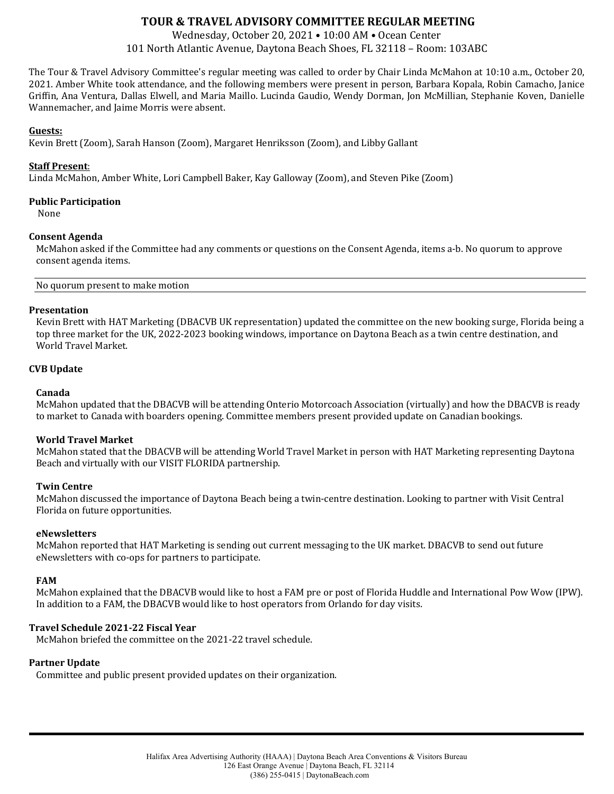# **TOUR & TRAVEL ADVISORY COMMITTEE REGULAR MEETING**

Wednesday, October 20, 2021 • 10:00 AM • Ocean Center 101 North Atlantic Avenue, Daytona Beach Shoes, FL 32118 – Room: 103ABC

The Tour & Travel Advisory Committee's regular meeting was called to order by Chair Linda McMahon at 10:10 a.m., October 20, 2021. Amber White took attendance, and the following members were present in person, Barbara Kopala, Robin Camacho, Janice Griffin, Ana Ventura, Dallas Elwell, and Maria Maillo. Lucinda Gaudio, Wendy Dorman, Jon McMillian, Stephanie Koven, Danielle Wannemacher, and Jaime Morris were absent.

## **Guests:**

Kevin Brett (Zoom), Sarah Hanson (Zoom), Margaret Henriksson (Zoom), and Libby Gallant

## **Staff Present**:

Linda McMahon, Amber White, Lori Campbell Baker, Kay Galloway (Zoom), and Steven Pike (Zoom)

#### **Public Participation**

None

## **Consent Agenda**

McMahon asked if the Committee had any comments or questions on the Consent Agenda, items a-b. No quorum to approve consent agenda items.

No quorum present to make motion

#### **Presentation**

Kevin Brett with HAT Marketing (DBACVB UK representation) updated the committee on the new booking surge, Florida being a top three market for the UK, 2022-2023 booking windows, importance on Daytona Beach as a twin centre destination, and World Travel Market.

## **CVB Update**

#### **Canada**

McMahon updated that the DBACVB will be attending Onterio Motorcoach Association (virtually) and how the DBACVB is ready to market to Canada with boarders opening. Committee members present provided update on Canadian bookings.

## **World Travel Market**

McMahon stated that the DBACVB will be attending World Travel Market in person with HAT Marketing representing Daytona Beach and virtually with our VISIT FLORIDA partnership.

## **Twin Centre**

McMahon discussed the importance of Daytona Beach being a twin-centre destination. Looking to partner with Visit Central Florida on future opportunities.

#### **eNewsletters**

McMahon reported that HAT Marketing is sending out current messaging to the UK market. DBACVB to send out future eNewsletters with co-ops for partners to participate.

#### **FAM**

McMahon explained that the DBACVB would like to host a FAM pre or post of Florida Huddle and International Pow Wow (IPW). In addition to a FAM, the DBACVB would like to host operators from Orlando for day visits.

## **Travel Schedule 2021-22 Fiscal Year**

McMahon briefed the committee on the 2021-22 travel schedule.

# **Partner Update**

Committee and public present provided updates on their organization.